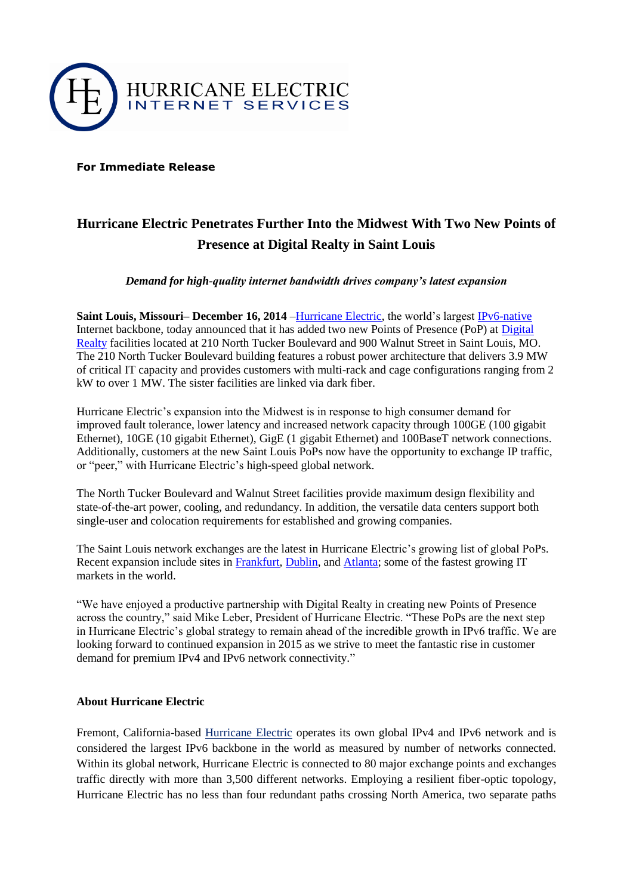

**For Immediate Release**

## **Hurricane Electric Penetrates Further Into the Midwest With Two New Points of Presence at Digital Realty in Saint Louis**

*Demand for high-quality internet bandwidth drives company's latest expansion*

**Saint Louis, Missouri– December 16, 2014** [–Hurricane Electric,](http://he.net/) the world's largest [IPv6-native](http://he.net/ip_transit.html) Internet backbone, today announced that it has added two new Points of Presence (PoP) at [Digital](http://www.digitalrealty.com/locations/na-regions/central?cityID=a018000000WCK85AAH)  [Realty](http://www.digitalrealty.com/locations/na-regions/central?cityID=a018000000WCK85AAH) facilities located at 210 North Tucker Boulevard and 900 Walnut Street in Saint Louis, MO. The 210 North Tucker Boulevard building features a robust power architecture that delivers 3.9 MW of critical IT capacity and provides customers with multi-rack and cage configurations ranging from 2 kW to over 1 MW. The sister facilities are linked via dark fiber.

Hurricane Electric's expansion into the Midwest is in response to high consumer demand for improved fault tolerance, lower latency and increased network capacity through 100GE (100 gigabit Ethernet), 10GE (10 gigabit Ethernet), GigE (1 gigabit Ethernet) and 100BaseT network connections. Additionally, customers at the new Saint Louis PoPs now have the opportunity to exchange IP traffic, or "peer," with Hurricane Electric's high-speed global network.

The North Tucker Boulevard and Walnut Street facilities provide maximum design flexibility and state-of-the-art power, cooling, and redundancy. In addition, the versatile data centers support both single-user and colocation requirements for established and growing companies.

The Saint Louis network exchanges are the latest in Hurricane Electric's growing list of global PoPs. Recent expansion include sites in [Frankfurt,](http://pop.he.net/?city=Frankfurt) [Dublin,](http://pop.he.net/?city=Dublin) and [Atlanta;](http://pop.he.net/?city=Atlanta) some of the fastest growing IT markets in the world.

"We have enjoyed a productive partnership with Digital Realty in creating new Points of Presence across the country," said Mike Leber, President of Hurricane Electric. "These PoPs are the next step in Hurricane Electric's global strategy to remain ahead of the incredible growth in IPv6 traffic. We are looking forward to continued expansion in 2015 as we strive to meet the fantastic rise in customer demand for premium IPv4 and IPv6 network connectivity."

## **About Hurricane Electric**

Fremont, California-based [Hurricane Electric](http://he.net/about_us.html) operates its own global IPv4 and IPv6 network and is considered the largest IPv6 backbone in the world as measured by number of networks connected. Within its global network, Hurricane Electric is connected to 80 major exchange points and exchanges traffic directly with more than 3,500 different networks. Employing a resilient fiber-optic topology, Hurricane Electric has no less than four redundant paths crossing North America, two separate paths